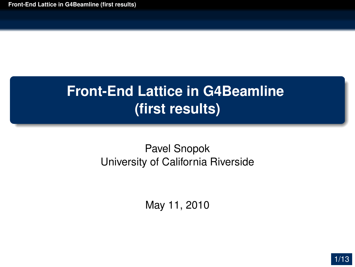#### <span id="page-0-0"></span>Pavel Snopok University of California Riverside

May 11, 2010

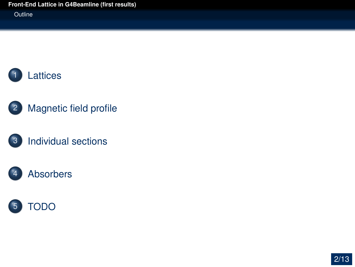**Outline** 





#### [Individual sections](#page-4-0)

#### [Absorbers](#page-9-0)



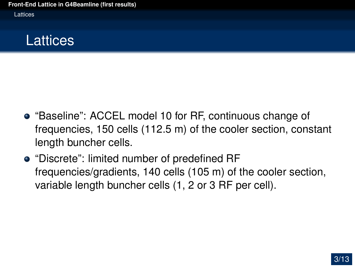Lattices

## **Lattices**

- "Baseline": ACCEL model 10 for RF, continuous change of frequencies, 150 cells (112.5 m) of the cooler section, constant length buncher cells.
- <span id="page-2-0"></span>• "Discrete": limited number of predefined RF frequencies/gradients, 140 cells (105 m) of the cooler section, variable length buncher cells (1, 2 or 3 RF per cell).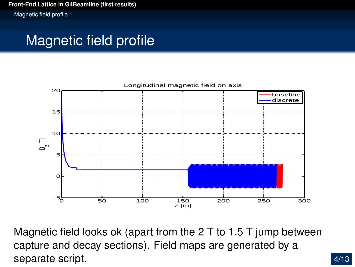Magnetic field profile

# Magnetic field profile



<span id="page-3-0"></span>Magnetic field looks ok (apart from the 2 T to 1.5 T jump between capture and decay sections). Field maps are generated by a separate script.

4/13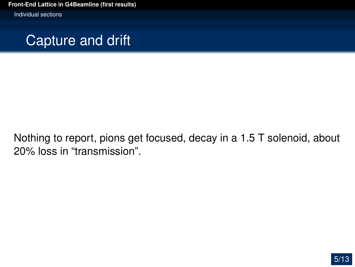Individual sections



<span id="page-4-0"></span>Nothing to report, pions get focused, decay in a 1.5 T solenoid, about 20% loss in "transmission".

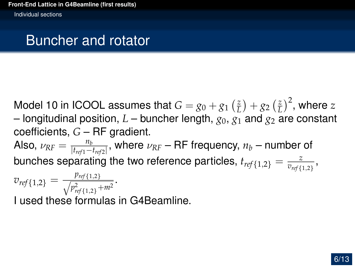Individual sections

### Buncher and rotator

Model 10 in ICOOL assumes that  $G = g_0 + g_1 \left( \frac{z}{L} \right)$  $\left(\frac{z}{L}\right) + g_2\left(\frac{z}{L}\right)$  $\left(\frac{z}{L}\right)^2$ , where  $z$ – longitudinal position,  $L$  – buncher length,  $g_0$ ,  $g_1$  and  $g_2$  are constant coefficients, *G* – RF gradient. Also,  $\nu_{RF} = \frac{n_b}{|t_{ref1} - t|}$  $\frac{n_b}{|t_{ref1}-t_{ref2}|}$ , where  $\nu_{RF}$  – RF frequency,  $n_b$  – number of bunches separating the two reference particles,  $t_{ref\{1,2\}} = \frac{z}{v_{ref}}$  $\frac{z}{v_{\textit{ref}\{1,2\}}},$  $v_{ref\{1,2\}} = \frac{p_{ref\{1,2\}}}{\sqrt{p_{\text{max}}^2 + p_{\text{max}}^2}}$ *p* 2 *ref*{1,2}+*m*<sup>2</sup> .

I used these formulas in G4Beamline.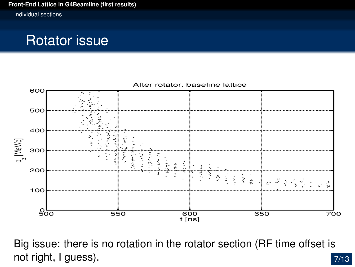Individual sections

### Rotator issue



7/13 Big issue: there is no rotation in the rotator section (RF time offset is not right, I guess).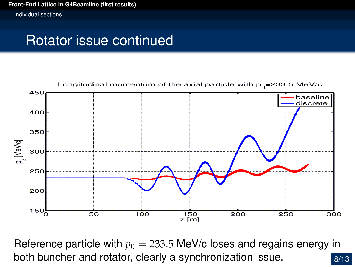Individual sections

### Rotator issue continued



8/13 Reference particle with  $p_0 = 233.5$  MeV/c loses and regains energy in both buncher and rotator, clearly a synchronization issue.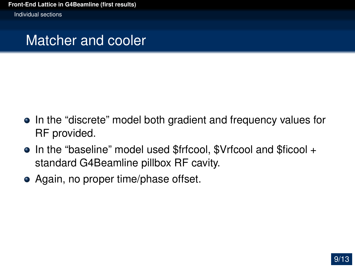Individual sections

#### Matcher and cooler

- In the "discrete" model both gradient and frequency values for RF provided.
- In the "baseline" model used \$frfcool, \$Vrfcool and \$ficool + standard G4Beamline pillbox RF cavity.
- Again, no proper time/phase offset.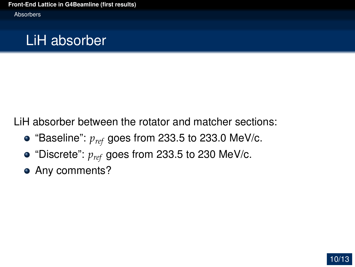## LiH absorber

LiH absorber between the rotator and matcher sections:

- $\bullet$  "Baseline":  $p_{ref}$  goes from 233.5 to 233.0 MeV/c.
- "Discrete": *pref* goes from 233.5 to 230 MeV/c.
- <span id="page-9-0"></span>• Any comments?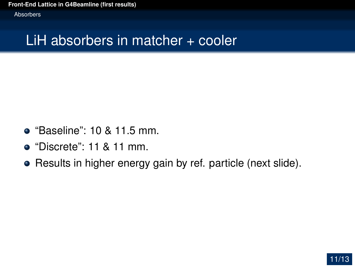Absorbers

## LiH absorbers in matcher + cooler

- "Baseline": 10 & 11.5 mm.
- $\bullet$  "Discrete": 11 & 11 mm.
- Results in higher energy gain by ref. particle (next slide).

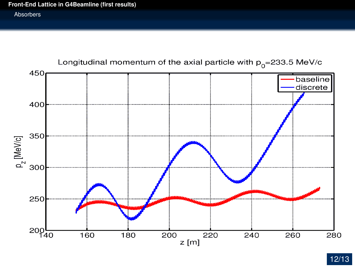#### Absorbers